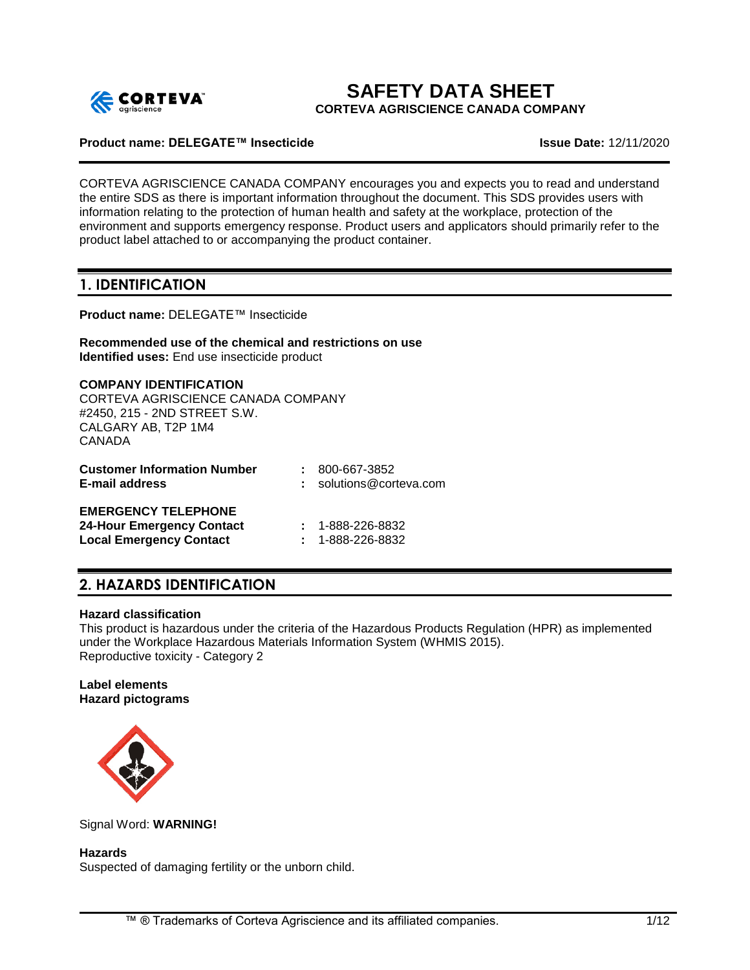

# **SAFETY DATA SHEET**

**CORTEVA AGRISCIENCE CANADA COMPANY**

## **Product name: DELEGATE™ Insecticide Issue Date:** 12/11/2020

CORTEVA AGRISCIENCE CANADA COMPANY encourages you and expects you to read and understand the entire SDS as there is important information throughout the document. This SDS provides users with information relating to the protection of human health and safety at the workplace, protection of the environment and supports emergency response. Product users and applicators should primarily refer to the product label attached to or accompanying the product container.

# **1. IDENTIFICATION**

**Product name:** DELEGATE™ Insecticide

**Recommended use of the chemical and restrictions on use Identified uses:** End use insecticide product

**COMPANY IDENTIFICATION** CORTEVA AGRISCIENCE CANADA COMPANY #2450, 215 - 2ND STREET S.W. CALGARY AB, T2P 1M4 CANADA **Customer Information Number :** 800-667-3852 **E-mail address :** solutions@corteva.com

# **EMERGENCY TELEPHONE**

| <b>24-Hour Emergency Contact</b> | $: 1 - 888 - 226 - 8832$ |
|----------------------------------|--------------------------|
| <b>Local Emergency Contact</b>   | $: 1 - 888 - 226 - 8832$ |

# **2. HAZARDS IDENTIFICATION**

#### **Hazard classification**

This product is hazardous under the criteria of the Hazardous Products Regulation (HPR) as implemented under the Workplace Hazardous Materials Information System (WHMIS 2015). Reproductive toxicity - Category 2

#### **Label elements Hazard pictograms**



Signal Word: **WARNING!**

# **Hazards**

Suspected of damaging fertility or the unborn child.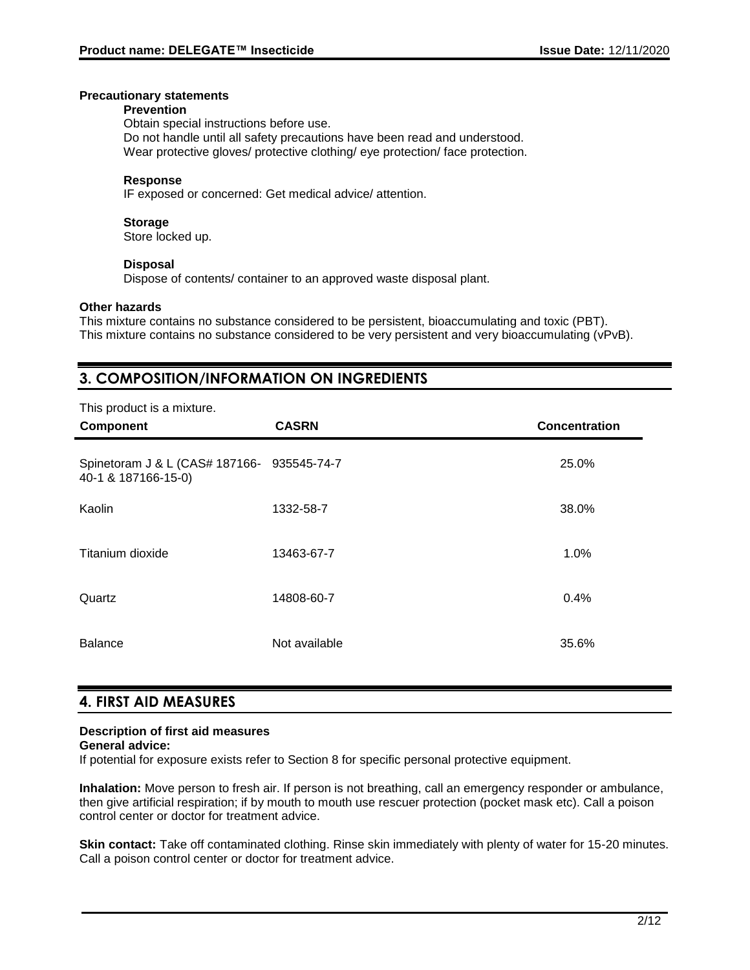#### **Precautionary statements**

#### **Prevention**

Obtain special instructions before use. Do not handle until all safety precautions have been read and understood. Wear protective gloves/ protective clothing/ eye protection/ face protection.

## **Response**

IF exposed or concerned: Get medical advice/ attention.

## **Storage**

Store locked up.

#### **Disposal**

Dispose of contents/ container to an approved waste disposal plant.

#### **Other hazards**

This mixture contains no substance considered to be persistent, bioaccumulating and toxic (PBT). This mixture contains no substance considered to be very persistent and very bioaccumulating (vPvB).

# **3. COMPOSITION/INFORMATION ON INGREDIENTS**

| This product is a mixture.<br>Component                           | <b>CASRN</b>  | <b>Concentration</b> |
|-------------------------------------------------------------------|---------------|----------------------|
| Spinetoram J & L (CAS# 187166- 935545-74-7<br>40-1 & 187166-15-0) |               | 25.0%                |
| Kaolin                                                            | 1332-58-7     | 38.0%                |
| Titanium dioxide                                                  | 13463-67-7    | 1.0%                 |
| Quartz                                                            | 14808-60-7    | 0.4%                 |
| <b>Balance</b>                                                    | Not available | 35.6%                |

# **4. FIRST AID MEASURES**

# **Description of first aid measures**

# **General advice:**

If potential for exposure exists refer to Section 8 for specific personal protective equipment.

**Inhalation:** Move person to fresh air. If person is not breathing, call an emergency responder or ambulance, then give artificial respiration; if by mouth to mouth use rescuer protection (pocket mask etc). Call a poison control center or doctor for treatment advice.

**Skin contact:** Take off contaminated clothing. Rinse skin immediately with plenty of water for 15-20 minutes. Call a poison control center or doctor for treatment advice.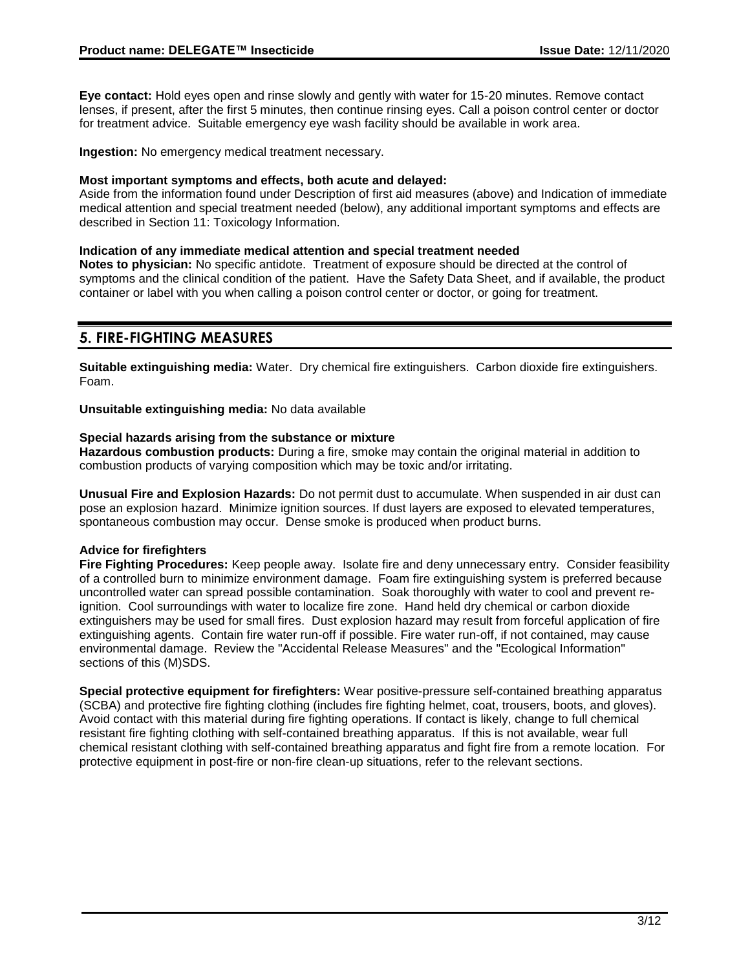**Eye contact:** Hold eyes open and rinse slowly and gently with water for 15-20 minutes. Remove contact lenses, if present, after the first 5 minutes, then continue rinsing eyes. Call a poison control center or doctor for treatment advice. Suitable emergency eye wash facility should be available in work area.

**Ingestion:** No emergency medical treatment necessary.

### **Most important symptoms and effects, both acute and delayed:**

Aside from the information found under Description of first aid measures (above) and Indication of immediate medical attention and special treatment needed (below), any additional important symptoms and effects are described in Section 11: Toxicology Information.

## **Indication of any immediate medical attention and special treatment needed**

**Notes to physician:** No specific antidote. Treatment of exposure should be directed at the control of symptoms and the clinical condition of the patient. Have the Safety Data Sheet, and if available, the product container or label with you when calling a poison control center or doctor, or going for treatment.

# **5. FIRE-FIGHTING MEASURES**

**Suitable extinguishing media:** Water. Dry chemical fire extinguishers. Carbon dioxide fire extinguishers. Foam.

**Unsuitable extinguishing media:** No data available

## **Special hazards arising from the substance or mixture**

**Hazardous combustion products:** During a fire, smoke may contain the original material in addition to combustion products of varying composition which may be toxic and/or irritating.

**Unusual Fire and Explosion Hazards:** Do not permit dust to accumulate. When suspended in air dust can pose an explosion hazard. Minimize ignition sources. If dust layers are exposed to elevated temperatures, spontaneous combustion may occur. Dense smoke is produced when product burns.

# **Advice for firefighters**

**Fire Fighting Procedures:** Keep people away. Isolate fire and deny unnecessary entry. Consider feasibility of a controlled burn to minimize environment damage. Foam fire extinguishing system is preferred because uncontrolled water can spread possible contamination. Soak thoroughly with water to cool and prevent reignition. Cool surroundings with water to localize fire zone. Hand held dry chemical or carbon dioxide extinguishers may be used for small fires. Dust explosion hazard may result from forceful application of fire extinguishing agents. Contain fire water run-off if possible. Fire water run-off, if not contained, may cause environmental damage. Review the "Accidental Release Measures" and the "Ecological Information" sections of this (M)SDS.

**Special protective equipment for firefighters:** Wear positive-pressure self-contained breathing apparatus (SCBA) and protective fire fighting clothing (includes fire fighting helmet, coat, trousers, boots, and gloves). Avoid contact with this material during fire fighting operations. If contact is likely, change to full chemical resistant fire fighting clothing with self-contained breathing apparatus. If this is not available, wear full chemical resistant clothing with self-contained breathing apparatus and fight fire from a remote location. For protective equipment in post-fire or non-fire clean-up situations, refer to the relevant sections.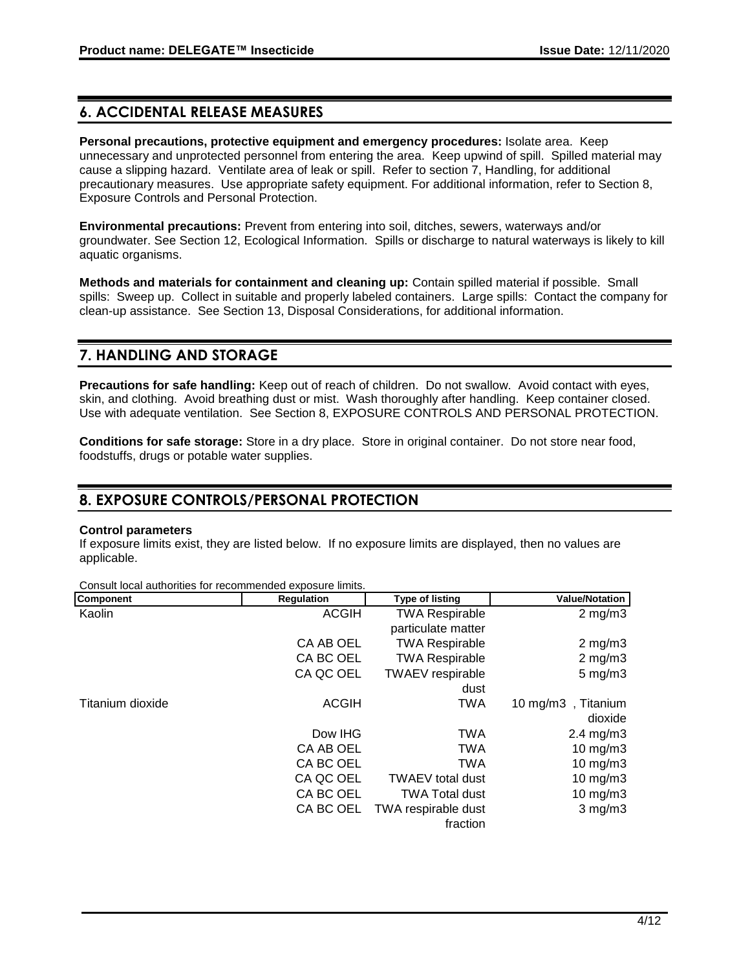# **6. ACCIDENTAL RELEASE MEASURES**

**Personal precautions, protective equipment and emergency procedures:** Isolate area. Keep unnecessary and unprotected personnel from entering the area. Keep upwind of spill. Spilled material may cause a slipping hazard. Ventilate area of leak or spill. Refer to section 7, Handling, for additional precautionary measures. Use appropriate safety equipment. For additional information, refer to Section 8, Exposure Controls and Personal Protection.

**Environmental precautions:** Prevent from entering into soil, ditches, sewers, waterways and/or groundwater. See Section 12, Ecological Information. Spills or discharge to natural waterways is likely to kill aquatic organisms.

**Methods and materials for containment and cleaning up:** Contain spilled material if possible. Small spills: Sweep up. Collect in suitable and properly labeled containers. Large spills: Contact the company for clean-up assistance. See Section 13, Disposal Considerations, for additional information.

# **7. HANDLING AND STORAGE**

**Precautions for safe handling:** Keep out of reach of children. Do not swallow. Avoid contact with eyes, skin, and clothing. Avoid breathing dust or mist. Wash thoroughly after handling. Keep container closed. Use with adequate ventilation. See Section 8, EXPOSURE CONTROLS AND PERSONAL PROTECTION.

**Conditions for safe storage:** Store in a dry place. Store in original container. Do not store near food, foodstuffs, drugs or potable water supplies.

# **8. EXPOSURE CONTROLS/PERSONAL PROTECTION**

#### **Control parameters**

If exposure limits exist, they are listed below. If no exposure limits are displayed, then no values are applicable.

Consult local authorities for recommended exposure limits.

| <b>Component</b> | <b>Regulation</b> | <b>Type of listing</b>  | <b>Value/Notation</b> |
|------------------|-------------------|-------------------------|-----------------------|
| Kaolin           | <b>ACGIH</b>      | <b>TWA Respirable</b>   | $2 \text{ mg/m}$ 3    |
|                  |                   | particulate matter      |                       |
|                  | CA AB OEL         | <b>TWA Respirable</b>   | $2$ mg/m $3$          |
|                  | CA BC OEL         | <b>TWA Respirable</b>   | $2$ mg/m $3$          |
|                  | CA QC OEL         | <b>TWAEV</b> respirable | $5 \text{ mg/m}$ 3    |
|                  |                   | dust                    |                       |
| Titanium dioxide | <b>ACGIH</b>      | TWA                     | 10 mg/m3, Titanium    |
|                  |                   |                         | dioxide               |
|                  | Dow IHG           | <b>TWA</b>              | $2.4 \text{ mg/m}$ 3  |
|                  | CA AB OEL         | <b>TWA</b>              | $10$ mg/m $3$         |
|                  | CA BC OEL         | <b>TWA</b>              | $10$ mg/m $3$         |
|                  | CA QC OEL         | <b>TWAEV</b> total dust | $10 \text{ mg/m}$ 3   |
|                  | CA BC OEL         | <b>TWA Total dust</b>   | 10 mg/m3              |
|                  | CA BC OEL         | TWA respirable dust     | $3$ mg/m $3$          |
|                  |                   | fraction                |                       |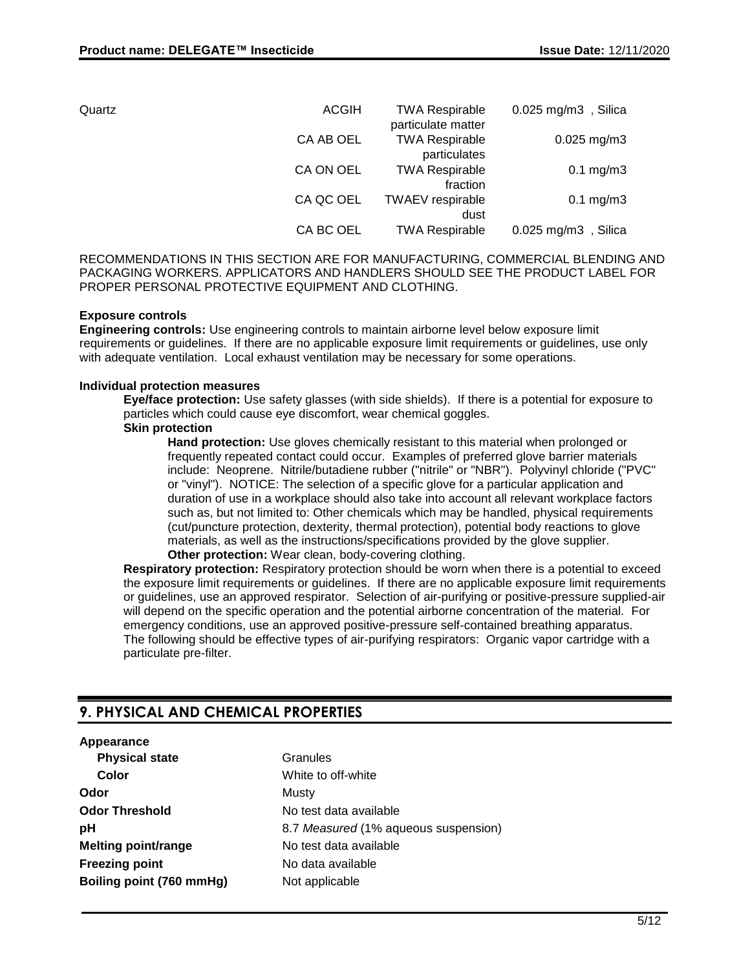| Quartz | <b>ACGIH</b> | <b>TWA Respirable</b>                       | $0.025$ mg/m3, Silica     |
|--------|--------------|---------------------------------------------|---------------------------|
|        | CA AB OEL    | particulate matter<br><b>TWA Respirable</b> | $0.025$ mg/m3             |
|        |              | particulates                                |                           |
|        | CA ON OEL    | <b>TWA Respirable</b>                       | $0.1 \text{ mg/m}$ 3      |
|        |              | fraction                                    |                           |
|        | CA QC OEL    | <b>TWAEV</b> respirable                     | $0.1$ mg/m $3$            |
|        |              | dust                                        |                           |
|        | CA BC OEL    | <b>TWA Respirable</b>                       | $0.025$ mg/m $3$ , Silica |

RECOMMENDATIONS IN THIS SECTION ARE FOR MANUFACTURING, COMMERCIAL BLENDING AND PACKAGING WORKERS. APPLICATORS AND HANDLERS SHOULD SEE THE PRODUCT LABEL FOR PROPER PERSONAL PROTECTIVE EQUIPMENT AND CLOTHING.

#### **Exposure controls**

**Engineering controls:** Use engineering controls to maintain airborne level below exposure limit requirements or guidelines. If there are no applicable exposure limit requirements or guidelines, use only with adequate ventilation. Local exhaust ventilation may be necessary for some operations.

#### **Individual protection measures**

**Eye/face protection:** Use safety glasses (with side shields). If there is a potential for exposure to particles which could cause eye discomfort, wear chemical goggles.

#### **Skin protection**

**Hand protection:** Use gloves chemically resistant to this material when prolonged or frequently repeated contact could occur. Examples of preferred glove barrier materials include: Neoprene. Nitrile/butadiene rubber ("nitrile" or "NBR"). Polyvinyl chloride ("PVC" or "vinyl"). NOTICE: The selection of a specific glove for a particular application and duration of use in a workplace should also take into account all relevant workplace factors such as, but not limited to: Other chemicals which may be handled, physical requirements (cut/puncture protection, dexterity, thermal protection), potential body reactions to glove materials, as well as the instructions/specifications provided by the glove supplier. **Other protection:** Wear clean, body-covering clothing.

**Respiratory protection:** Respiratory protection should be worn when there is a potential to exceed the exposure limit requirements or guidelines. If there are no applicable exposure limit requirements or guidelines, use an approved respirator. Selection of air-purifying or positive-pressure supplied-air will depend on the specific operation and the potential airborne concentration of the material. For emergency conditions, use an approved positive-pressure self-contained breathing apparatus. The following should be effective types of air-purifying respirators: Organic vapor cartridge with a particulate pre-filter.

# **9. PHYSICAL AND CHEMICAL PROPERTIES**

#### **Appearance**

**Physical state** Granules **Color** White to off-white **Odor** Musty **Odor Threshold** No test data available **Melting point/range** No test data available **Freezing point** No data available **Boiling point (760 mmHg)** Not applicable

**pH** 8.7 *Measured* (1% aqueous suspension)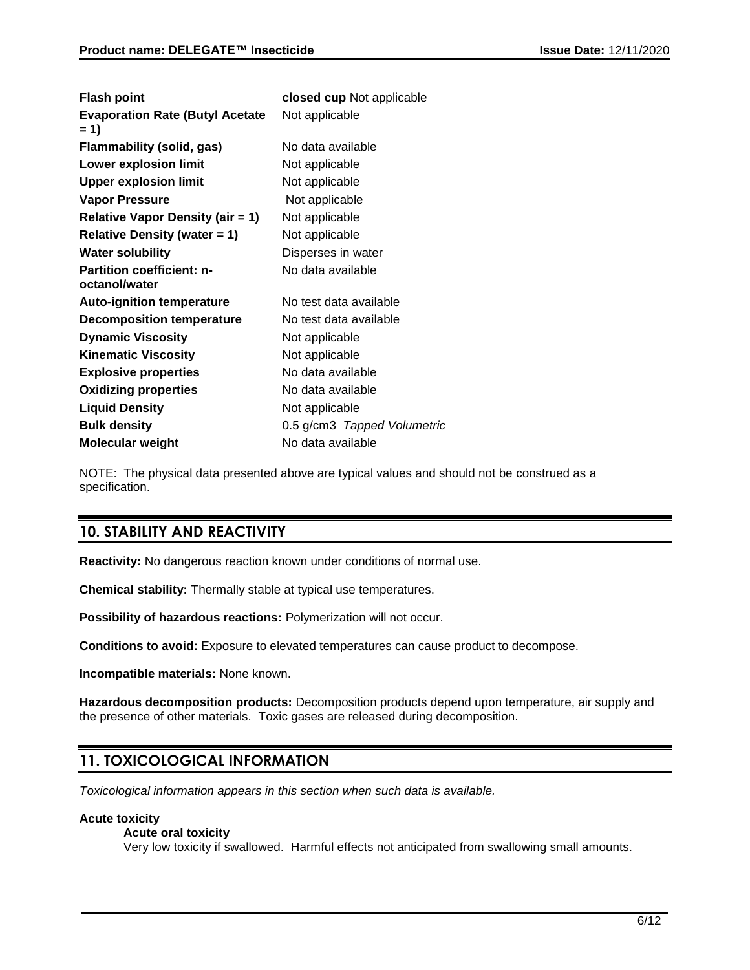| <b>Flash point</b>                                | closed cup Not applicable   |
|---------------------------------------------------|-----------------------------|
| <b>Evaporation Rate (Butyl Acetate</b><br>$= 1$   | Not applicable              |
| Flammability (solid, gas)                         | No data available           |
| <b>Lower explosion limit</b>                      | Not applicable              |
| <b>Upper explosion limit</b>                      | Not applicable              |
| Vapor Pressure                                    | Not applicable              |
| <b>Relative Vapor Density (air = 1)</b>           | Not applicable              |
| <b>Relative Density (water = 1)</b>               | Not applicable              |
| <b>Water solubility</b>                           | Disperses in water          |
| <b>Partition coefficient: n-</b><br>octanol/water | No data available           |
| <b>Auto-ignition temperature</b>                  | No test data available      |
| <b>Decomposition temperature</b>                  | No test data available      |
| <b>Dynamic Viscosity</b>                          | Not applicable              |
| <b>Kinematic Viscosity</b>                        | Not applicable              |
| <b>Explosive properties</b>                       | No data available           |
| <b>Oxidizing properties</b>                       | No data available           |
| <b>Liquid Density</b>                             | Not applicable              |
| <b>Bulk density</b>                               | 0.5 g/cm3 Tapped Volumetric |
| <b>Molecular weight</b>                           | No data available           |

NOTE: The physical data presented above are typical values and should not be construed as a specification.

# **10. STABILITY AND REACTIVITY**

**Reactivity:** No dangerous reaction known under conditions of normal use.

**Chemical stability:** Thermally stable at typical use temperatures.

**Possibility of hazardous reactions:** Polymerization will not occur.

**Conditions to avoid:** Exposure to elevated temperatures can cause product to decompose.

**Incompatible materials:** None known.

**Hazardous decomposition products:** Decomposition products depend upon temperature, air supply and the presence of other materials. Toxic gases are released during decomposition.

# **11. TOXICOLOGICAL INFORMATION**

*Toxicological information appears in this section when such data is available.*

### **Acute toxicity**

#### **Acute oral toxicity**

Very low toxicity if swallowed. Harmful effects not anticipated from swallowing small amounts.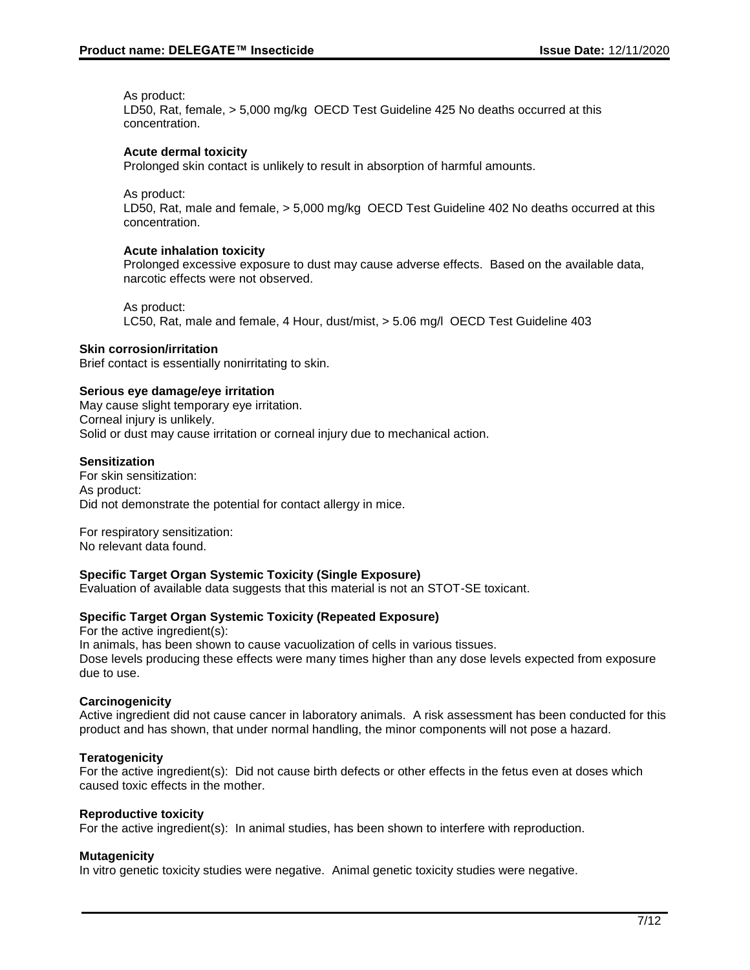As product:

LD50, Rat, female, > 5,000 mg/kg OECD Test Guideline 425 No deaths occurred at this concentration.

### **Acute dermal toxicity**

Prolonged skin contact is unlikely to result in absorption of harmful amounts.

As product:

LD50, Rat, male and female, > 5,000 mg/kg OECD Test Guideline 402 No deaths occurred at this concentration.

#### **Acute inhalation toxicity**

Prolonged excessive exposure to dust may cause adverse effects. Based on the available data, narcotic effects were not observed.

As product:

LC50, Rat, male and female, 4 Hour, dust/mist, > 5.06 mg/l OECD Test Guideline 403

#### **Skin corrosion/irritation**

Brief contact is essentially nonirritating to skin.

#### **Serious eye damage/eye irritation**

May cause slight temporary eye irritation. Corneal injury is unlikely. Solid or dust may cause irritation or corneal injury due to mechanical action.

#### **Sensitization**

For skin sensitization: As product: Did not demonstrate the potential for contact allergy in mice.

For respiratory sensitization: No relevant data found.

# **Specific Target Organ Systemic Toxicity (Single Exposure)**

Evaluation of available data suggests that this material is not an STOT-SE toxicant.

#### **Specific Target Organ Systemic Toxicity (Repeated Exposure)**

For the active ingredient(s): In animals, has been shown to cause vacuolization of cells in various tissues. Dose levels producing these effects were many times higher than any dose levels expected from exposure due to use.

#### **Carcinogenicity**

Active ingredient did not cause cancer in laboratory animals. A risk assessment has been conducted for this product and has shown, that under normal handling, the minor components will not pose a hazard.

#### **Teratogenicity**

For the active ingredient(s): Did not cause birth defects or other effects in the fetus even at doses which caused toxic effects in the mother.

#### **Reproductive toxicity**

For the active ingredient(s): In animal studies, has been shown to interfere with reproduction.

#### **Mutagenicity**

In vitro genetic toxicity studies were negative. Animal genetic toxicity studies were negative.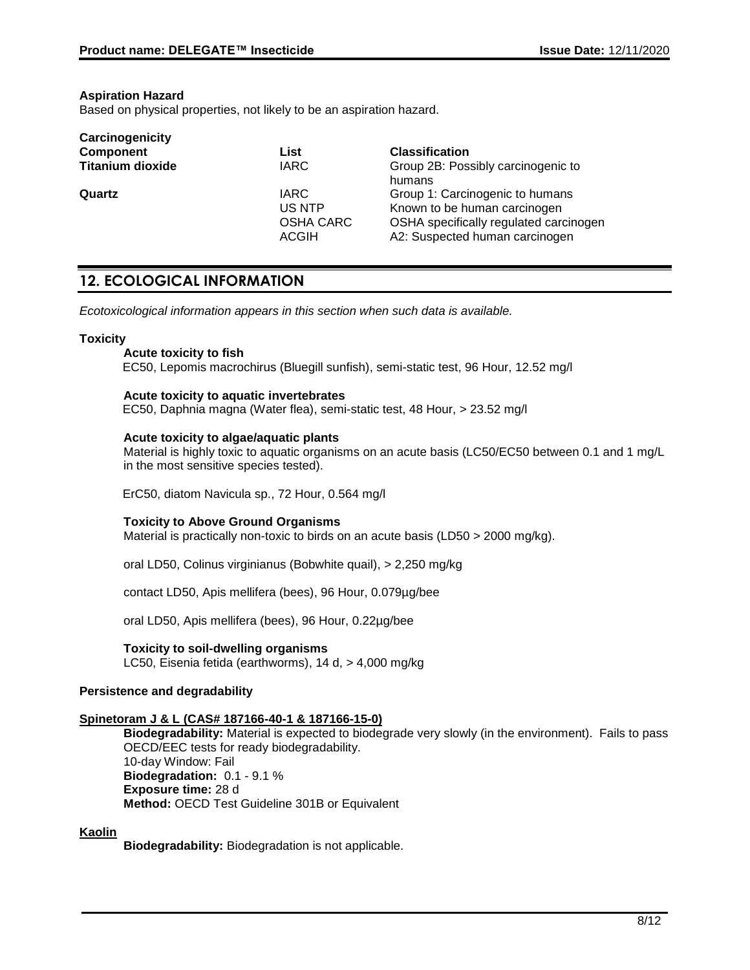#### **Aspiration Hazard**

**Carcinogenicity**

Based on physical properties, not likely to be an aspiration hazard.

| Carcinogenicity         |                                                           |                                                                                                                                             |
|-------------------------|-----------------------------------------------------------|---------------------------------------------------------------------------------------------------------------------------------------------|
| <b>Component</b>        | List                                                      | <b>Classification</b>                                                                                                                       |
| <b>Titanium dioxide</b> | <b>IARC</b>                                               | Group 2B: Possibly carcinogenic to<br>humans                                                                                                |
| Quartz                  | <b>IARC</b><br>US NTP<br><b>OSHA CARC</b><br><b>ACGIH</b> | Group 1: Carcinogenic to humans<br>Known to be human carcinogen<br>OSHA specifically regulated carcinogen<br>A2: Suspected human carcinogen |

# **12. ECOLOGICAL INFORMATION**

*Ecotoxicological information appears in this section when such data is available.*

#### **Toxicity**

**Acute toxicity to fish** EC50, Lepomis macrochirus (Bluegill sunfish), semi-static test, 96 Hour, 12.52 mg/l

#### **Acute toxicity to aquatic invertebrates**

EC50, Daphnia magna (Water flea), semi-static test, 48 Hour, > 23.52 mg/l

#### **Acute toxicity to algae/aquatic plants**

Material is highly toxic to aquatic organisms on an acute basis (LC50/EC50 between 0.1 and 1 mg/L in the most sensitive species tested).

ErC50, diatom Navicula sp., 72 Hour, 0.564 mg/l

#### **Toxicity to Above Ground Organisms**

Material is practically non-toxic to birds on an acute basis (LD50 > 2000 mg/kg).

oral LD50, Colinus virginianus (Bobwhite quail), > 2,250 mg/kg

contact LD50, Apis mellifera (bees), 96 Hour, 0.079µg/bee

oral LD50, Apis mellifera (bees), 96 Hour, 0.22µg/bee

#### **Toxicity to soil-dwelling organisms**

LC50, Eisenia fetida (earthworms), 14 d, > 4,000 mg/kg

#### **Persistence and degradability**

#### **Spinetoram J & L (CAS# 187166-40-1 & 187166-15-0)**

**Biodegradability:** Material is expected to biodegrade very slowly (in the environment). Fails to pass OECD/EEC tests for ready biodegradability. 10-day Window: Fail **Biodegradation:** 0.1 - 9.1 % **Exposure time:** 28 d **Method:** OECD Test Guideline 301B or Equivalent

#### **Kaolin**

**Biodegradability:** Biodegradation is not applicable.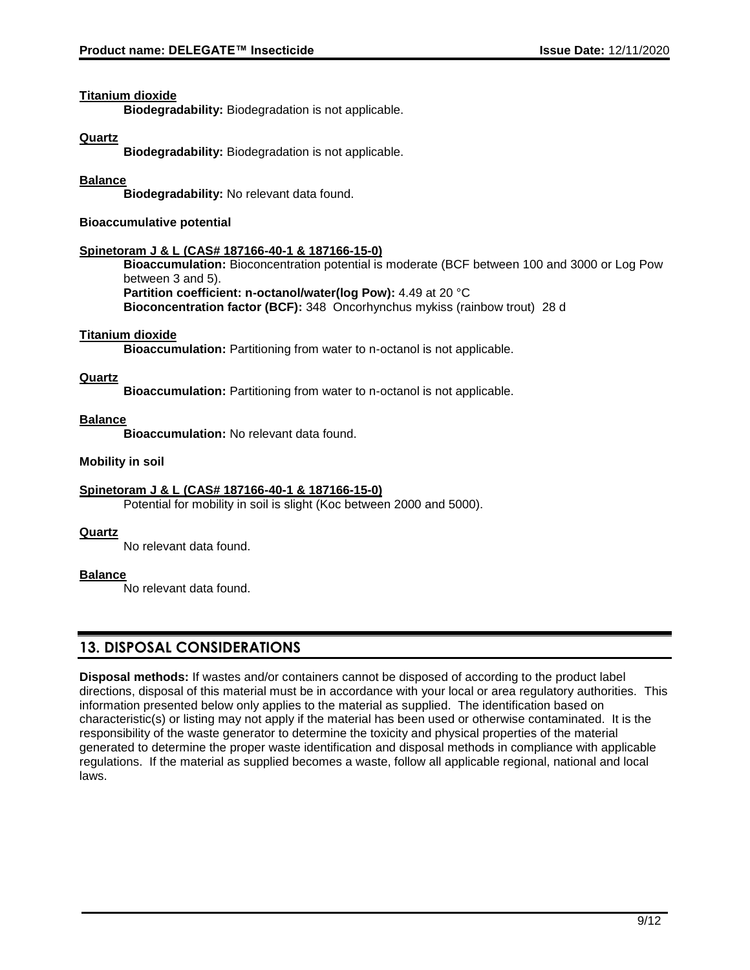#### **Titanium dioxide**

**Biodegradability:** Biodegradation is not applicable.

## **Quartz**

**Biodegradability:** Biodegradation is not applicable.

## **Balance**

**Biodegradability:** No relevant data found.

## **Bioaccumulative potential**

## **Spinetoram J & L (CAS# 187166-40-1 & 187166-15-0)**

**Bioaccumulation:** Bioconcentration potential is moderate (BCF between 100 and 3000 or Log Pow between 3 and 5). **Partition coefficient: n-octanol/water(log Pow):** 4.49 at 20 °C

**Bioconcentration factor (BCF):** 348 Oncorhynchus mykiss (rainbow trout) 28 d

#### **Titanium dioxide**

**Bioaccumulation:** Partitioning from water to n-octanol is not applicable.

## **Quartz**

**Bioaccumulation:** Partitioning from water to n-octanol is not applicable.

## **Balance**

**Bioaccumulation:** No relevant data found.

## **Mobility in soil**

# **Spinetoram J & L (CAS# 187166-40-1 & 187166-15-0)**

Potential for mobility in soil is slight (Koc between 2000 and 5000).

#### **Quartz**

No relevant data found.

# **Balance**

No relevant data found.

# **13. DISPOSAL CONSIDERATIONS**

**Disposal methods:** If wastes and/or containers cannot be disposed of according to the product label directions, disposal of this material must be in accordance with your local or area regulatory authorities. This information presented below only applies to the material as supplied. The identification based on characteristic(s) or listing may not apply if the material has been used or otherwise contaminated. It is the responsibility of the waste generator to determine the toxicity and physical properties of the material generated to determine the proper waste identification and disposal methods in compliance with applicable regulations. If the material as supplied becomes a waste, follow all applicable regional, national and local laws.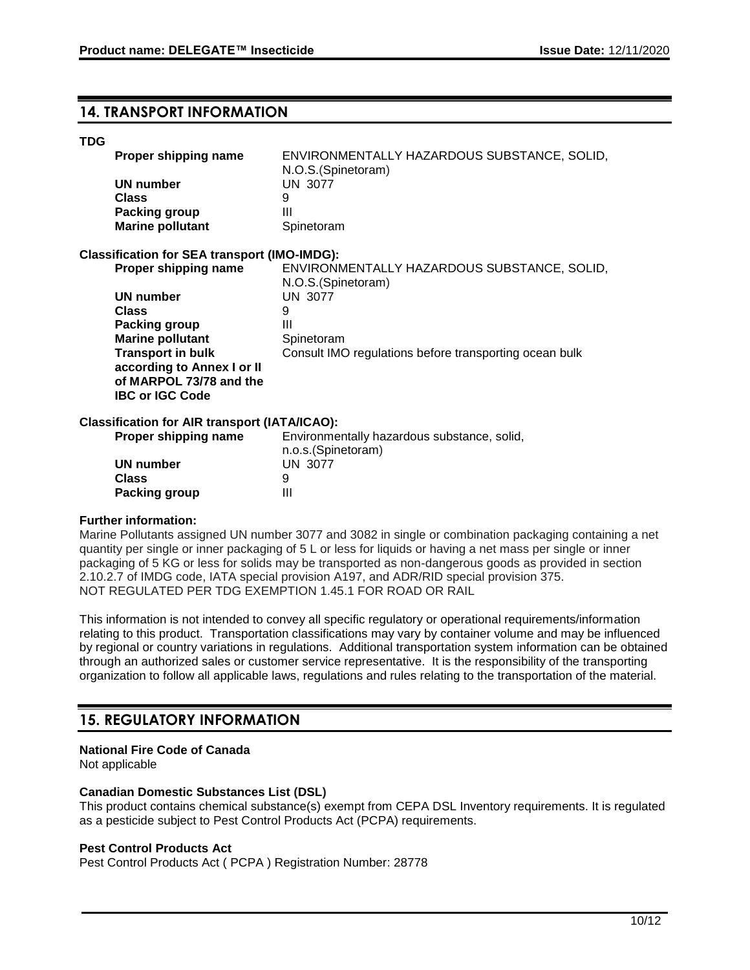# **14. TRANSPORT INFORMATION**

#### **TDG**

| Proper shipping name                                | ENVIRONMENTALLY HAZARDOUS SUBSTANCE, SOLID,<br>N.O.S. (Spinetoram) |
|-----------------------------------------------------|--------------------------------------------------------------------|
| UN number                                           | UN 3077                                                            |
| <b>Class</b>                                        | 9                                                                  |
| <b>Packing group</b>                                | Ш                                                                  |
| <b>Marine pollutant</b>                             | Spinetoram                                                         |
| <b>Classification for SEA transport (IMO-IMDG):</b> |                                                                    |
| Proper shipping name                                | ENVIRONMENTALLY HAZARDOUS SUBSTANCE, SOLID,                        |
|                                                     | N.O.S. (Spinetoram)                                                |
| UN number                                           | <b>UN 3077</b>                                                     |
| <b>Class</b>                                        | 9                                                                  |
| Packing group                                       | Ш                                                                  |
| <b>Marine pollutant</b>                             | Spinetoram                                                         |
| <b>Transport in bulk</b>                            | Consult IMO regulations before transporting ocean bulk             |
| according to Annex I or II                          |                                                                    |

## **Classification for AIR transport (IATA/ICAO):**

**of MARPOL 73/78 and the** 

**IBC or IGC Code**

| <b>Proper shipping name</b> | Environmentally hazardous substance, solid, |
|-----------------------------|---------------------------------------------|
|                             | n.o.s.(Spinetoram)                          |
| UN number                   | <b>UN 3077</b>                              |
| <b>Class</b>                | 9                                           |
| <b>Packing group</b>        | Ш                                           |

#### **Further information:**

Marine Pollutants assigned UN number 3077 and 3082 in single or combination packaging containing a net quantity per single or inner packaging of 5 L or less for liquids or having a net mass per single or inner packaging of 5 KG or less for solids may be transported as non-dangerous goods as provided in section 2.10.2.7 of IMDG code, IATA special provision A197, and ADR/RID special provision 375. NOT REGULATED PER TDG EXEMPTION 1.45.1 FOR ROAD OR RAIL

This information is not intended to convey all specific regulatory or operational requirements/information relating to this product. Transportation classifications may vary by container volume and may be influenced by regional or country variations in regulations. Additional transportation system information can be obtained through an authorized sales or customer service representative. It is the responsibility of the transporting organization to follow all applicable laws, regulations and rules relating to the transportation of the material.

# **15. REGULATORY INFORMATION**

#### **National Fire Code of Canada**

Not applicable

#### **Canadian Domestic Substances List (DSL)**

This product contains chemical substance(s) exempt from CEPA DSL Inventory requirements. It is regulated as a pesticide subject to Pest Control Products Act (PCPA) requirements.

#### **Pest Control Products Act**

Pest Control Products Act ( PCPA ) Registration Number: 28778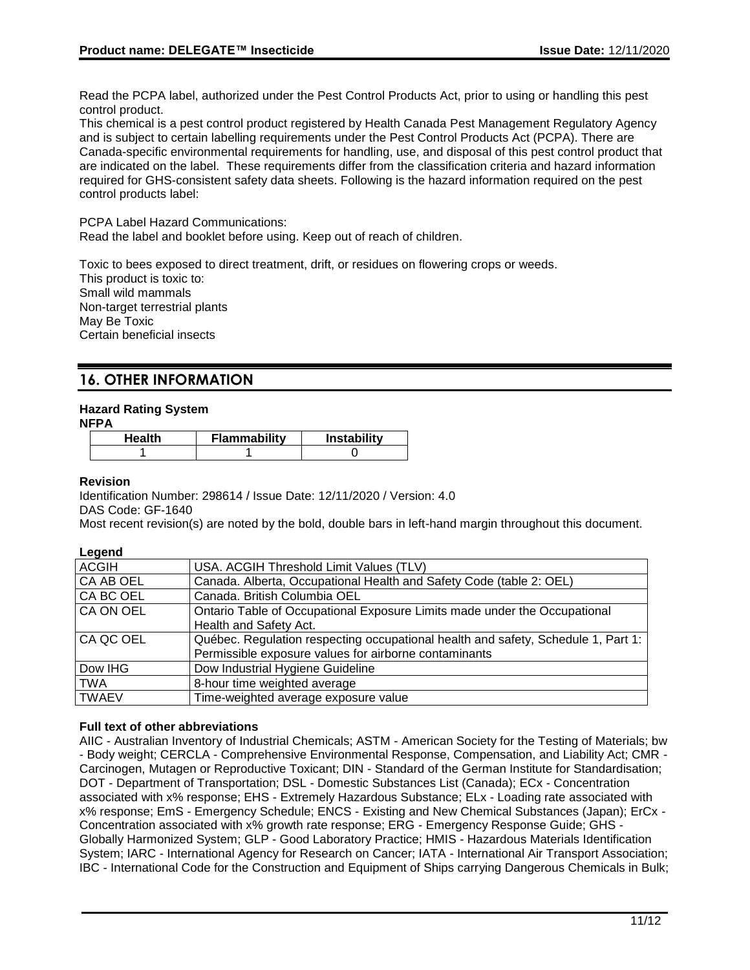Read the PCPA label, authorized under the Pest Control Products Act, prior to using or handling this pest control product.

This chemical is a pest control product registered by Health Canada Pest Management Regulatory Agency and is subject to certain labelling requirements under the Pest Control Products Act (PCPA). There are Canada-specific environmental requirements for handling, use, and disposal of this pest control product that are indicated on the label. These requirements differ from the classification criteria and hazard information required for GHS-consistent safety data sheets. Following is the hazard information required on the pest control products label:

PCPA Label Hazard Communications: Read the label and booklet before using. Keep out of reach of children.

Toxic to bees exposed to direct treatment, drift, or residues on flowering crops or weeds. This product is toxic to: Small wild mammals Non-target terrestrial plants May Be Toxic Certain beneficial insects

# **16. OTHER INFORMATION**

## **Hazard Rating System**

**NFPA**

| Health | <b>Flammability</b> | <b>Instability</b> |
|--------|---------------------|--------------------|
|        |                     |                    |

#### **Revision**

Identification Number: 298614 / Issue Date: 12/11/2020 / Version: 4.0

DAS Code: GF-1640

Most recent revision(s) are noted by the bold, double bars in left-hand margin throughout this document.

#### **Legend**

| <b>ACGIH</b> | USA. ACGIH Threshold Limit Values (TLV)                                           |
|--------------|-----------------------------------------------------------------------------------|
| CA AB OEL    | Canada. Alberta, Occupational Health and Safety Code (table 2: OEL)               |
| CA BC OEL    | Canada. British Columbia OEL                                                      |
| CA ON OEL    | Ontario Table of Occupational Exposure Limits made under the Occupational         |
|              | Health and Safety Act.                                                            |
| CA QC OEL    | Québec. Regulation respecting occupational health and safety, Schedule 1, Part 1: |
|              | Permissible exposure values for airborne contaminants                             |
| Dow IHG      | Dow Industrial Hygiene Guideline                                                  |
| <b>TWA</b>   | 8-hour time weighted average                                                      |
| <b>TWAEV</b> | Time-weighted average exposure value                                              |

#### **Full text of other abbreviations**

AIIC - Australian Inventory of Industrial Chemicals; ASTM - American Society for the Testing of Materials; bw - Body weight; CERCLA - Comprehensive Environmental Response, Compensation, and Liability Act; CMR - Carcinogen, Mutagen or Reproductive Toxicant; DIN - Standard of the German Institute for Standardisation; DOT - Department of Transportation; DSL - Domestic Substances List (Canada); ECx - Concentration associated with x% response; EHS - Extremely Hazardous Substance; ELx - Loading rate associated with x% response; EmS - Emergency Schedule; ENCS - Existing and New Chemical Substances (Japan); ErCx - Concentration associated with x% growth rate response; ERG - Emergency Response Guide; GHS - Globally Harmonized System; GLP - Good Laboratory Practice; HMIS - Hazardous Materials Identification System; IARC - International Agency for Research on Cancer; IATA - International Air Transport Association; IBC - International Code for the Construction and Equipment of Ships carrying Dangerous Chemicals in Bulk;